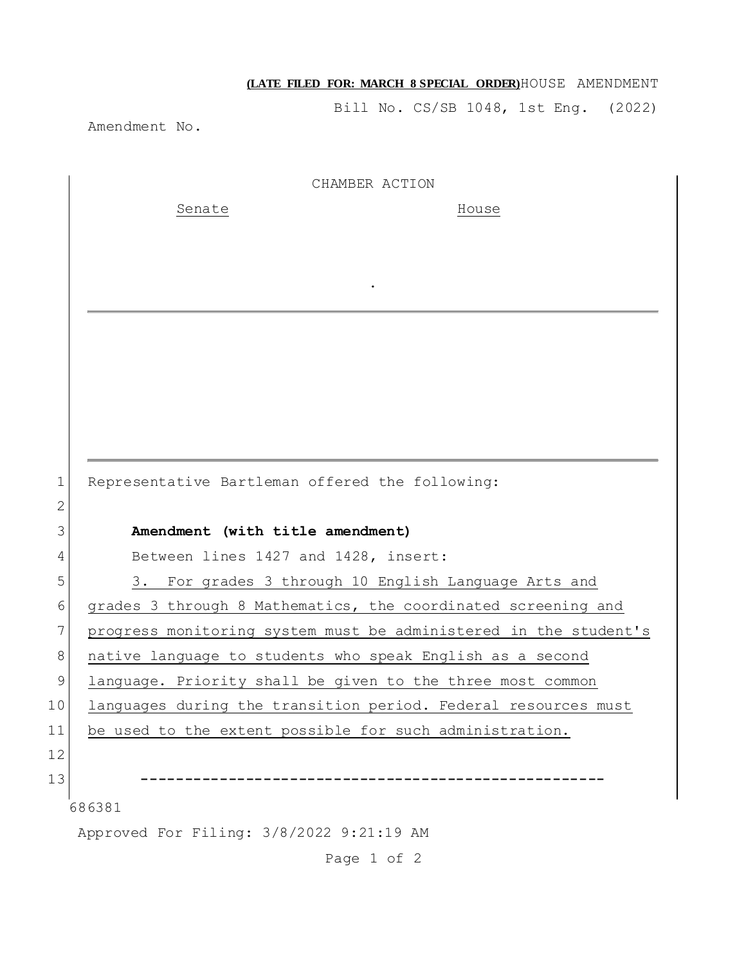## **(LATE FILED FOR: MARCH 8 SPECIAL ORDER)**HOUSE AMENDMENT

Bill No. CS/SB 1048, 1st Eng. (2022)

Amendment No.

|                | CHAMBER ACTION                                                   |
|----------------|------------------------------------------------------------------|
|                | Senate<br>House                                                  |
|                |                                                                  |
|                |                                                                  |
|                |                                                                  |
|                |                                                                  |
|                |                                                                  |
|                |                                                                  |
|                |                                                                  |
|                |                                                                  |
|                |                                                                  |
| $\mathbf 1$    | Representative Bartleman offered the following:                  |
| $\overline{2}$ |                                                                  |
| 3              | Amendment (with title amendment)                                 |
| 4              | Between lines 1427 and 1428, insert:                             |
| 5              | For grades 3 through 10 English Language Arts and<br>3.          |
| 6              | grades 3 through 8 Mathematics, the coordinated screening and    |
| $\overline{7}$ | progress monitoring system must be administered in the student's |
| $8\,$          | native language to students who speak English as a second        |
| $\mathsf 9$    | language. Priority shall be given to the three most common       |
| 10             | languages during the transition period. Federal resources must   |
| 11             | be used to the extent possible for such administration.          |
| 12             |                                                                  |
| 13             |                                                                  |
|                | 686381                                                           |
|                | Approved For Filing: 3/8/2022 9:21:19 AM                         |

Page 1 of 2